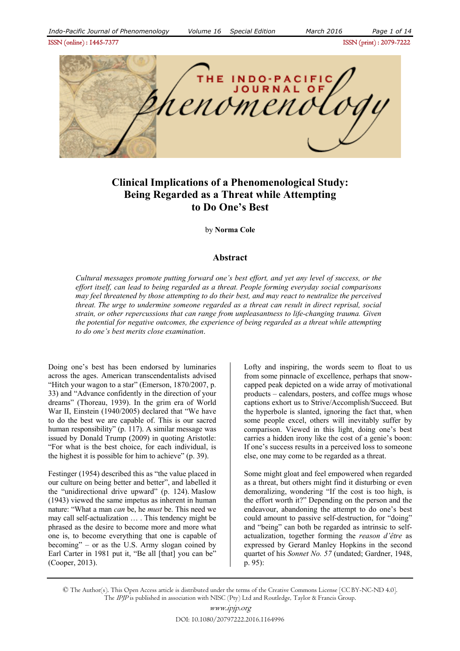ISSN (online) : 1445-7377ISSN (print) : 2079-7222



# **Clinical Implications of a Phenomenological Study: Being Regarded as a Threat while Attempting to Do One's Best**

by **Norma Cole**

### **Abstract**

*Cultural messages promote putting forward one's best effort, and yet any level of success, or the effort itself, can lead to being regarded as a threat. People forming everyday social comparisons may feel threatened by those attempting to do their best, and may react to neutralize the perceived threat. The urge to undermine someone regarded as a threat can result in direct reprisal, social strain, or other repercussions that can range from unpleasantness to life-changing trauma. Given the potential for negative outcomes, the experience of being regarded as a threat while attempting to do one's best merits close examination*.

Doing one's best has been endorsed by luminaries across the ages. American transcendentalists advised "Hitch your wagon to a star" (Emerson, 1870/2007, p. 33) and "Advance confidently in the direction of your dreams" (Thoreau, 1939). In the grim era of World War II, Einstein (1940/2005) declared that "We have to do the best we are capable of. This is our sacred human responsibility" (p. 117). A similar message was issued by Donald Trump (2009) in quoting Aristotle: "For what is the best choice, for each individual, is the highest it is possible for him to achieve" (p. 39).

Festinger (1954) described this as "the value placed in our culture on being better and better", and labelled it the "unidirectional drive upward" (p. 124). Maslow (1943) viewed the same impetus as inherent in human nature: "What a man *can* be, he *must* be. This need we may call self-actualization … . This tendency might be phrased as the desire to become more and more what one is, to become everything that one is capable of becoming" – or as the U.S. Army slogan coined by Earl Carter in 1981 put it, "Be all [that] you can be" (Cooper, 2013).

Lofty and inspiring, the words seem to float to us from some pinnacle of excellence, perhaps that snowcapped peak depicted on a wide array of motivational products – calendars, posters, and coffee mugs whose captions exhort us to Strive/Accomplish/Succeed. But the hyperbole is slanted, ignoring the fact that, when some people excel, others will inevitably suffer by comparison. Viewed in this light, doing one's best carries a hidden irony like the cost of a genie's boon: If one's success results in a perceived loss to someone else, one may come to be regarded as a threat.

Some might gloat and feel empowered when regarded as a threat, but others might find it disturbing or even demoralizing, wondering "If the cost is too high, is the effort worth it?" Depending on the person and the endeavour, abandoning the attempt to do one's best could amount to passive self-destruction, for "doing" and "being" can both be regarded as intrinsic to selfactualization, together forming the *reason d'être* as expressed by Gerard Manley Hopkins in the second quartet of his *Sonnet No. 57* (undated; Gardner, 1948, p. 95):

© The Author(s). This Open Access article is distributed under the terms of the Creative Commons License [CC BY-NC-ND 4.0]. The IPJP is published in association with NISC (Pty) Ltd and Routledge, Taylor & Francis Group.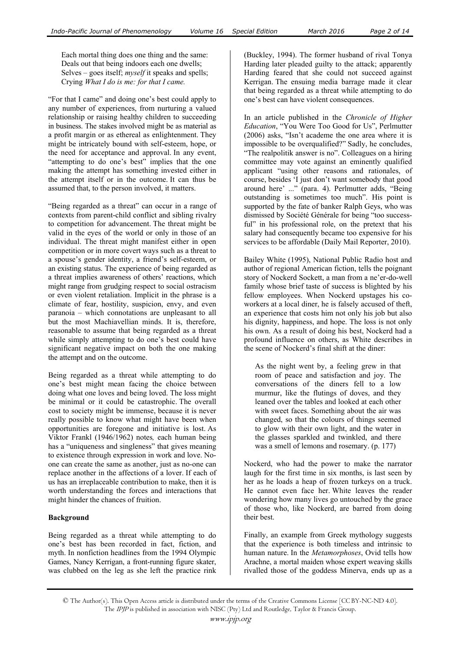Each mortal thing does one thing and the same: Deals out that being indoors each one dwells; Selves – goes itself; *myself* it speaks and spells; Crying *What I do is me: for that I came.* 

"For that I came" and doing one's best could apply to any number of experiences, from nurturing a valued relationship or raising healthy children to succeeding in business. The stakes involved might be as material as a profit margin or as ethereal as enlightenment. They might be intricately bound with self-esteem, hope, or the need for acceptance and approval. In any event, "attempting to do one's best" implies that the one making the attempt has something invested either in the attempt itself or in the outcome. It can thus be assumed that, to the person involved, it matters.

"Being regarded as a threat" can occur in a range of contexts from parent-child conflict and sibling rivalry to competition for advancement. The threat might be valid in the eyes of the world or only in those of an individual. The threat might manifest either in open competition or in more covert ways such as a threat to a spouse's gender identity, a friend's self-esteem, or an existing status. The experience of being regarded as a threat implies awareness of others' reactions, which might range from grudging respect to social ostracism or even violent retaliation. Implicit in the phrase is a climate of fear, hostility, suspicion, envy, and even paranoia – which connotations are unpleasant to all but the most Machiavellian minds. It is, therefore, reasonable to assume that being regarded as a threat while simply attempting to do one's best could have significant negative impact on both the one making the attempt and on the outcome.

Being regarded as a threat while attempting to do one's best might mean facing the choice between doing what one loves and being loved. The loss might be minimal or it could be catastrophic. The overall cost to society might be immense, because it is never really possible to know what might have been when opportunities are foregone and initiative is lost. As Viktor Frankl (1946/1962) notes*,* each human being has a "uniqueness and singleness" that gives meaning to existence through expression in work and love. Noone can create the same as another, just as no-one can replace another in the affections of a lover. If each of us has an irreplaceable contribution to make, then it is worth understanding the forces and interactions that might hinder the chances of fruition.

## **Background**

Being regarded as a threat while attempting to do one's best has been recorded in fact, fiction, and myth. In nonfiction headlines from the 1994 Olympic Games, Nancy Kerrigan, a front-running figure skater, was clubbed on the leg as she left the practice rink (Buckley, 1994). The former husband of rival Tonya Harding later pleaded guilty to the attack; apparently Harding feared that she could not succeed against Kerrigan. The ensuing media barrage made it clear that being regarded as a threat while attempting to do one's best can have violent consequences.

In an article published in the *Chronicle of Higher Education*, "You Were Too Good for Us", Perlmutter (2006) asks, "Isn't academe the one area where it is impossible to be overqualified?" Sadly, he concludes, "The realpolitik answer is no". Colleagues on a hiring committee may vote against an eminently qualified applicant "using other reasons and rationales, of course, besides 'I just don't want somebody that good around here' ..." (para. 4). Perlmutter adds, "Being outstanding is sometimes too much". His point is supported by the fate of banker Ralph Geys, who was dismissed by Société Générale for being "too successful" in his professional role, on the pretext that his salary had consequently became too expensive for his services to be affordable (Daily Mail Reporter, 2010).

Bailey White (1995), National Public Radio host and author of regional American fiction, tells the poignant story of Nockerd Sockett, a man from a ne'er-do-well family whose brief taste of success is blighted by his fellow employees. When Nockerd upstages his coworkers at a local diner, he is falsely accused of theft, an experience that costs him not only his job but also his dignity, happiness, and hope. The loss is not only his own. As a result of doing his best, Nockerd had a profound influence on others, as White describes in the scene of Nockerd's final shift at the diner:

As the night went by, a feeling grew in that room of peace and satisfaction and joy. The conversations of the diners fell to a low murmur, like the flutings of doves, and they leaned over the tables and looked at each other with sweet faces. Something about the air was changed, so that the colours of things seemed to glow with their own light, and the water in the glasses sparkled and twinkled, and there was a smell of lemons and rosemary. (p. 177)

Nockerd, who had the power to make the narrator laugh for the first time in six months, is last seen by her as he loads a heap of frozen turkeys on a truck. He cannot even face her. White leaves the reader wondering how many lives go untouched by the grace of those who, like Nockerd, are barred from doing their best.

Finally, an example from Greek mythology suggests that the experience is both timeless and intrinsic to human nature. In the *Metamorphoses*, Ovid tells how Arachne, a mortal maiden whose expert weaving skills rivalled those of the goddess Minerva, ends up as a

<sup>©</sup> The Author(s). This Open Access article is distributed under the terms of the Creative Commons License [CC BY-NC-ND 4.0]. The IPJP is published in association with NISC (Pty) Ltd and Routledge, Taylor & Francis Group.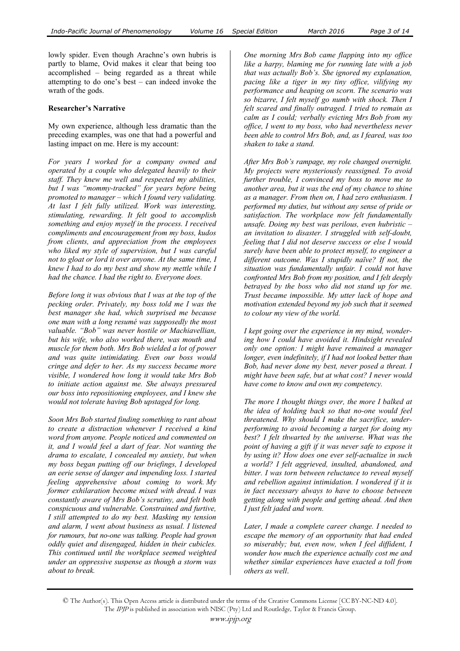lowly spider. Even though Arachne's own hubris is partly to blame, Ovid makes it clear that being too accomplished – being regarded as a threat while attempting to do one's best – can indeed invoke the wrath of the gods.

## **Researcher's Narrative**

My own experience, although less dramatic than the preceding examples, was one that had a powerful and lasting impact on me. Here is my account:

*For years I worked for a company owned and operated by a couple who delegated heavily to their staff. They knew me well and respected my abilities, but I was "mommy-tracked" for years before being promoted to manager – which I found very validating. At last I felt fully utilized. Work was interesting, stimulating, rewarding. It felt good to accomplish something and enjoy myself in the process. I received compliments and encouragement from my boss, kudos from clients, and appreciation from the employees who liked my style of supervision, but I was careful not to gloat or lord it over anyone. At the same time, I knew I had to do my best and show my mettle while I had the chance. I had the right to. Everyone does.* 

*Before long it was obvious that I was at the top of the pecking order. Privately, my boss told me I was the best manager she had, which surprised me because one man with a long resumé was supposedly the most valuable. "Bob" was never hostile or Machiavellian, but his wife, who also worked there, was mouth and muscle for them both. Mrs Bob wielded a lot of power and was quite intimidating. Even our boss would cringe and defer to her. As my success became more visible, I wondered how long it would take Mrs Bob to initiate action against me. She always pressured our boss into repositioning employees, and I knew she would not tolerate having Bob upstaged for long.* 

*Soon Mrs Bob started finding something to rant about to create a distraction whenever I received a kind word from anyone. People noticed and commented on it, and I would feel a dart of fear. Not wanting the drama to escalate, I concealed my anxiety, but when my boss began putting off our briefings, I developed an eerie sense of danger and impending loss. I started feeling apprehensive about coming to work. My former exhilaration become mixed with dread. I was constantly aware of Mrs Bob's scrutiny, and felt both conspicuous and vulnerable. Constrained and furtive, I still attempted to do my best. Masking my tension and alarm, I went about business as usual. I listened for rumours, but no-one was talking. People had grown oddly quiet and disengaged, hidden in their cubicles. This continued until the workplace seemed weighted under an oppressive suspense as though a storm was about to break.* 

*One morning Mrs Bob came flapping into my office like a harpy, blaming me for running late with a job that was actually Bob's. She ignored my explanation, pacing like a tiger in my tiny office, vilifying my performance and heaping on scorn. The scenario was so bizarre, I felt myself go numb with shock. Then I felt scared and finally outraged. I tried to remain as calm as I could; verbally evicting Mrs Bob from my office, I went to my boss, who had nevertheless never been able to control Mrs Bob, and, as I feared, was too shaken to take a stand.* 

*After Mrs Bob's rampage, my role changed overnight. My projects were mysteriously reassigned. To avoid further trouble, I convinced my boss to move me to another area, but it was the end of my chance to shine as a manager. From then on, I had zero enthusiasm. I performed my duties, but without any sense of pride or satisfaction. The workplace now felt fundamentally unsafe. Doing my best was perilous, even hubristic – an invitation to disaster. I struggled with self-doubt, feeling that I did not deserve success or else I would surely have been able to protect myself, to engineer a different outcome. Was I stupidly naïve? If not, the situation was fundamentally unfair. I could not have confronted Mrs Bob from my position, and I felt deeply betrayed by the boss who did not stand up for me. Trust became impossible. My utter lack of hope and motivation extended beyond my job such that it seemed to colour my view of the world.* 

*I kept going over the experience in my mind, wondering how I could have avoided it. Hindsight revealed only one option: I might have remained a manager longer, even indefinitely, if I had not looked better than Bob, had never done my best, never posed a threat. I might have been safe, but at what cost? I never would have come to know and own my competency.* 

*The more I thought things over, the more I balked at the idea of holding back so that no-one would feel threatened. Why should I make the sacrifice, underperforming to avoid becoming a target for doing my best? I felt thwarted by the universe. What was the point of having a gift if it was never safe to expose it by using it? How does one ever self-actualize in such a world? I felt aggrieved, insulted, abandoned, and bitter. I was torn between reluctance to reveal myself and rebellion against intimidation. I wondered if it is in fact necessary always to have to choose between getting along with people and getting ahead. And then I just felt jaded and worn.* 

*Later, I made a complete career change. I needed to escape the memory of an opportunity that had ended so miserably; but, even now, when I feel diffident, I wonder how much the experience actually cost me and whether similar experiences have exacted a toll from others as well*.

<sup>©</sup> The Author(s). This Open Access article is distributed under the terms of the Creative Commons License [CC BY-NC-ND 4.0]. The IPJP is published in association with NISC (Pty) Ltd and Routledge, Taylor & Francis Group.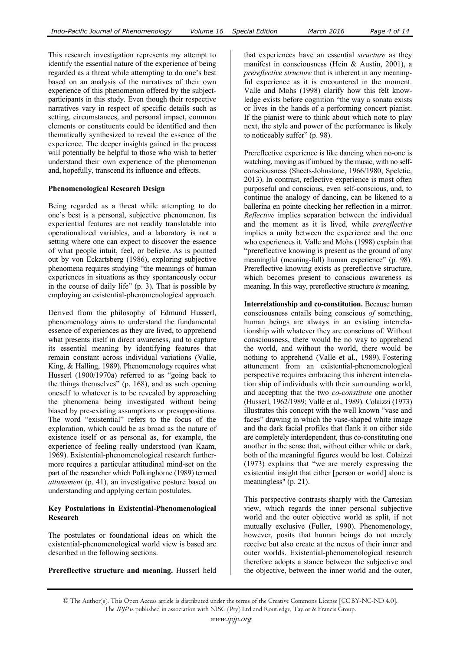This research investigation represents my attempt to identify the essential nature of the experience of being regarded as a threat while attempting to do one's best based on an analysis of the narratives of their own experience of this phenomenon offered by the subjectparticipants in this study. Even though their respective narratives vary in respect of specific details such as setting, circumstances, and personal impact, common elements or constituents could be identified and then thematically synthesized to reveal the essence of the experience. The deeper insights gained in the process will potentially be helpful to those who wish to better understand their own experience of the phenomenon and, hopefully, transcend its influence and effects.

### **Phenomenological Research Design**

Being regarded as a threat while attempting to do one's best is a personal, subjective phenomenon. Its experiential features are not readily translatable into operationalized variables, and a laboratory is not a setting where one can expect to discover the essence of what people intuit, feel, or believe. As is pointed out by von Eckartsberg (1986), exploring subjective phenomena requires studying "the meanings of human experiences in situations as they spontaneously occur in the course of daily life" (p. 3). That is possible by employing an existential-phenomenological approach.

Derived from the philosophy of Edmund Husserl, phenomenology aims to understand the fundamental essence of experiences as they are lived, to apprehend what presents itself in direct awareness, and to capture its essential meaning by identifying features that remain constant across individual variations (Valle, King, & Halling, 1989). Phenomenology requires what Husserl (1900/1970a) referred to as "going back to the things themselves" (p. 168), and as such opening oneself to whatever is to be revealed by approaching the phenomena being investigated without being biased by pre-existing assumptions or presuppositions. The word "existential" refers to the focus of the exploration, which could be as broad as the nature of existence itself or as personal as, for example, the experience of feeling really understood (van Kaam, 1969). Existential-phenomenological research furthermore requires a particular attitudinal mind-set on the part of the researcher which Polkinghorne (1989) termed *attunement* (p. 41), an investigative posture based on understanding and applying certain postulates.

### **Key Postulations in Existential-Phenomenological Research**

The postulates or foundational ideas on which the existential-phenomenological world view is based are described in the following sections.

### **Prereflective structure and meaning.** Husserl held

that experiences have an essential *structure* as they manifest in consciousness (Hein & Austin, 2001), a *prereflective structure* that is inherent in any meaningful experience as it is encountered in the moment. Valle and Mohs (1998) clarify how this felt knowledge exists before cognition "the way a sonata exists or lives in the hands of a performing concert pianist. If the pianist were to think about which note to play next, the style and power of the performance is likely to noticeably suffer" (p. 98).

Prereflective experience is like dancing when no-one is watching, moving as if imbued by the music, with no selfconsciousness (Sheets-Johnstone, 1966/1980; Speletic, 2013). In contrast, reflective experience is most often purposeful and conscious, even self-conscious, and, to continue the analogy of dancing, can be likened to a ballerina en pointe checking her reflection in a mirror. *Reflective* implies separation between the individual and the moment as it is lived, while *prereflective* implies a unity between the experience and the one who experiences it. Valle and Mohs (1998) explain that "prereflective knowing is present as the ground of any meaningful (meaning-full) human experience" (p. 98). Prereflective knowing exists as prereflective structure, which becomes present to conscious awareness as meaning. In this way, prereflective structure *is* meaning.

**Interrelationship and co-constitution.** Because human consciousness entails being conscious *of* something, human beings are always in an existing interrelationship with whatever they are conscious of. Without consciousness, there would be no way to apprehend the world, and without the world, there would be nothing to apprehend (Valle et al., 1989). Fostering attunement from an existential-phenomenological perspective requires embracing this inherent interrelation ship of individuals with their surrounding world, and accepting that the two *co-constitute* one another (Husserl, 1962/1989; Valle et al., 1989). Colaizzi (1973) illustrates this concept with the well known "vase and faces" drawing in which the vase-shaped white image and the dark facial profiles that flank it on either side are completely interdependent, thus co-constituting one another in the sense that, without either white or dark, both of the meaningful figures would be lost. Colaizzi (1973) explains that "we are merely expressing the existential insight that either [person or world] alone is meaningless" (p. 21).

This perspective contrasts sharply with the Cartesian view, which regards the inner personal subjective world and the outer objective world as split, if not mutually exclusive (Fuller, 1990). Phenomenology, however, posits that human beings do not merely receive but also create at the nexus of their inner and outer worlds. Existential-phenomenological research therefore adopts a stance between the subjective and the objective, between the inner world and the outer,

<sup>©</sup> The Author(s). This Open Access article is distributed under the terms of the Creative Commons License [CC BY-NC-ND 4.0]. The IPJP is published in association with NISC (Pty) Ltd and Routledge, Taylor & Francis Group.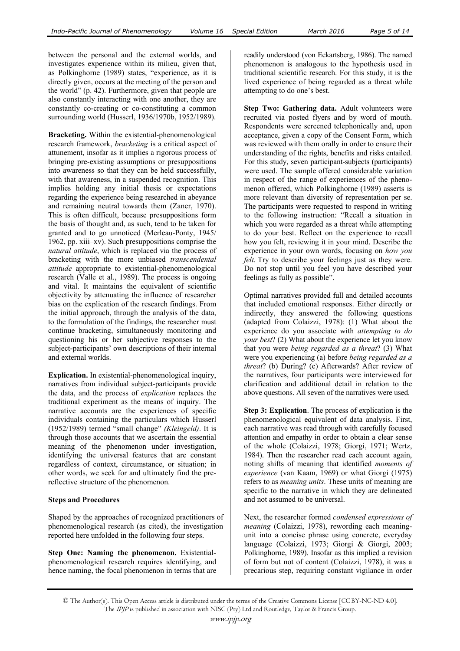between the personal and the external worlds, and investigates experience within its milieu, given that, as Polkinghorne (1989) states, "experience, as it is directly given, occurs at the meeting of the person and the world" (p. 42). Furthermore, given that people are also constantly interacting with one another, they are constantly co-creating or co-constituting a common surrounding world (Husserl, 1936/1970b, 1952/1989).

**Bracketing.** Within the existential-phenomenological research framework, *bracketing* is a critical aspect of attunement, insofar as it implies a rigorous process of bringing pre-existing assumptions or presuppositions into awareness so that they can be held successfully, with that awareness, in a suspended recognition. This implies holding any initial thesis or expectations regarding the experience being researched in abeyance and remaining neutral towards them (Zaner, 1970). This is often difficult, because presuppositions form the basis of thought and, as such, tend to be taken for granted and to go unnoticed (Merleau-Ponty, 1945/ 1962, pp. xiii–xv). Such presuppositions comprise the *natural attitude*, which is replaced via the process of bracketing with the more unbiased *transcendental attitude* appropriate to existential-phenomenological research (Valle et al., 1989). The process is ongoing and vital. It maintains the equivalent of scientific objectivity by attenuating the influence of researcher bias on the explication of the research findings. From the initial approach, through the analysis of the data, to the formulation of the findings, the researcher must continue bracketing, simultaneously monitoring and questioning his or her subjective responses to the subject-participants' own descriptions of their internal and external worlds.

**Explication.** In existential-phenomenological inquiry, narratives from individual subject-participants provide the data, and the process of *explication* replaces the traditional experiment as the means of inquiry. The narrative accounts are the experiences of specific individuals containing the particulars which Husserl (1952/1989) termed "small change" *(Kleingeld)*. It is through those accounts that we ascertain the essential meaning of the phenomenon under investigation, identifying the universal features that are constant regardless of context, circumstance, or situation; in other words, we seek for and ultimately find the prereflective structure of the phenomenon.

### **Steps and Procedures**

Shaped by the approaches of recognized practitioners of phenomenological research (as cited), the investigation reported here unfolded in the following four steps.

**Step One: Naming the phenomenon.** Existentialphenomenological research requires identifying, and hence naming, the focal phenomenon in terms that are readily understood (von Eckartsberg, 1986). The named phenomenon is analogous to the hypothesis used in traditional scientific research. For this study, it is the lived experience of being regarded as a threat while attempting to do one's best.

**Step Two: Gathering data.** Adult volunteers were recruited via posted flyers and by word of mouth. Respondents were screened telephonically and, upon acceptance, given a copy of the Consent Form, which was reviewed with them orally in order to ensure their understanding of the rights, benefits and risks entailed. For this study, seven participant-subjects (participants) were used. The sample offered considerable variation in respect of the range of experiences of the phenomenon offered, which Polkinghorne (1989) asserts is more relevant than diversity of representation per se. The participants were requested to respond in writing to the following instruction: "Recall a situation in which you were regarded as a threat while attempting to do your best. Reflect on the experience to recall how you felt, reviewing it in your mind. Describe the experience in your own words, focusing on *how you felt.* Try to describe your feelings just as they were. Do not stop until you feel you have described your feelings as fully as possible".

Optimal narratives provided full and detailed accounts that included emotional responses. Either directly or indirectly, they answered the following questions (adapted from Colaizzi, 1978): (1) What about the experience do you associate with *attempting to do your best*? (2) What about the experience let you know that you were *being regarded as a threat*? (3) What were you experiencing (a) before *being regarded as a threat*? (b) During? (c) Afterwards? After review of the narratives, four participants were interviewed for clarification and additional detail in relation to the above questions. All seven of the narratives were used.

**Step 3: Explication**. The process of explication is the phenomenological equivalent of data analysis. First, each narrative was read through with carefully focused attention and empathy in order to obtain a clear sense of the whole (Colaizzi, 1978; Giorgi, 1971; Wertz, 1984). Then the researcher read each account again, noting shifts of meaning that identified *moments of experience* (van Kaam, 1969) or what Giorgi (1975) refers to as *meaning units*. These units of meaning are specific to the narrative in which they are delineated and not assumed to be universal.

Next, the researcher formed *condensed expressions of meaning* (Colaizzi, 1978), rewording each meaningunit into a concise phrase using concrete, everyday language (Colaizzi, 1973; Giorgi & Giorgi, 2003; Polkinghorne, 1989). Insofar as this implied a revision of form but not of content (Colaizzi, 1978), it was a precarious step, requiring constant vigilance in order

<sup>©</sup> The Author(s). This Open Access article is distributed under the terms of the Creative Commons License [CC BY-NC-ND 4.0]. The IPJP is published in association with NISC (Pty) Ltd and Routledge, Taylor & Francis Group.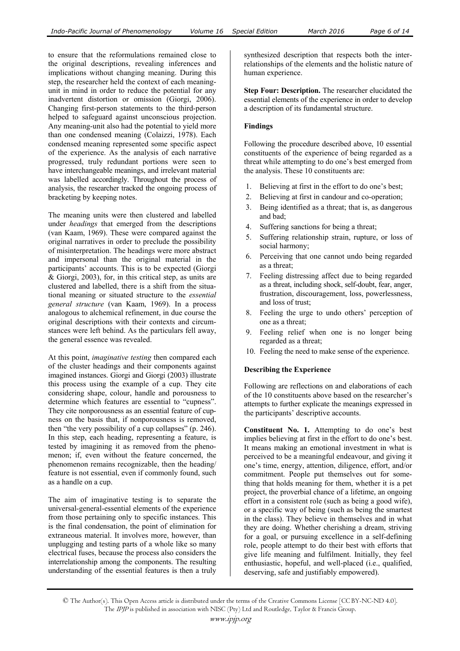to ensure that the reformulations remained close to the original descriptions, revealing inferences and implications without changing meaning. During this step, the researcher held the context of each meaningunit in mind in order to reduce the potential for any inadvertent distortion or omission (Giorgi, 2006). Changing first-person statements to the third-person helped to safeguard against unconscious projection. Any meaning-unit also had the potential to yield more than one condensed meaning (Colaizzi, 1978). Each condensed meaning represented some specific aspect of the experience. As the analysis of each narrative progressed, truly redundant portions were seen to have interchangeable meanings, and irrelevant material was labelled accordingly. Throughout the process of analysis, the researcher tracked the ongoing process of bracketing by keeping notes.

The meaning units were then clustered and labelled under *headings* that emerged from the descriptions (van Kaam, 1969). These were compared against the original narratives in order to preclude the possibility of misinterpretation. The headings were more abstract and impersonal than the original material in the participants' accounts. This is to be expected (Giorgi & Giorgi, 2003), for, in this critical step, as units are clustered and labelled, there is a shift from the situational meaning or situated structure to the *essential general structure* (van Kaam, 1969). In a process analogous to alchemical refinement, in due course the original descriptions with their contexts and circumstances were left behind. As the particulars fell away, the general essence was revealed.

At this point, *imaginative testing* then compared each of the cluster headings and their components against imagined instances. Giorgi and Giorgi (2003) illustrate this process using the example of a cup. They cite considering shape, colour, handle and porousness to determine which features are essential to "cupness". They cite nonporousness as an essential feature of cupness on the basis that, if nonporousness is removed, then "the very possibility of a cup collapses" (p. 246). In this step, each heading, representing a feature, is tested by imagining it as removed from the phenomenon; if, even without the feature concerned, the phenomenon remains recognizable, then the heading/ feature is not essential, even if commonly found, such as a handle on a cup.

The aim of imaginative testing is to separate the universal-general-essential elements of the experience from those pertaining only to specific instances. This is the final condensation, the point of elimination for extraneous material. It involves more, however, than unplugging and testing parts of a whole like so many electrical fuses, because the process also considers the interrelationship among the components. The resulting understanding of the essential features is then a truly synthesized description that respects both the interrelationships of the elements and the holistic nature of human experience.

**Step Four: Description.** The researcher elucidated the essential elements of the experience in order to develop a description of its fundamental structure.

### **Findings**

Following the procedure described above, 10 essential constituents of the experience of being regarded as a threat while attempting to do one's best emerged from the analysis. These 10 constituents are:

- 1. Believing at first in the effort to do one's best;
- 2. Believing at first in candour and co-operation;
- 3. Being identified as a threat; that is, as dangerous and bad;
- 4. Suffering sanctions for being a threat;
- 5. Suffering relationship strain, rupture, or loss of social harmony;
- 6. Perceiving that one cannot undo being regarded as a threat;
- 7. Feeling distressing affect due to being regarded as a threat, including shock, self-doubt, fear, anger, frustration, discouragement, loss, powerlessness, and loss of trust;
- 8. Feeling the urge to undo others' perception of one as a threat;
- 9. Feeling relief when one is no longer being regarded as a threat;
- 10. Feeling the need to make sense of the experience.

## **Describing the Experience**

Following are reflections on and elaborations of each of the 10 constituents above based on the researcher's attempts to further explicate the meanings expressed in the participants' descriptive accounts.

**Constituent No. 1.** Attempting to do one's best implies believing at first in the effort to do one's best. It means making an emotional investment in what is perceived to be a meaningful endeavour, and giving it one's time, energy, attention, diligence, effort, and/or commitment. People put themselves out for something that holds meaning for them, whether it is a pet project, the proverbial chance of a lifetime, an ongoing effort in a consistent role (such as being a good wife), or a specific way of being (such as being the smartest in the class). They believe in themselves and in what they are doing. Whether cherishing a dream, striving for a goal, or pursuing excellence in a self-defining role, people attempt to do their best with efforts that give life meaning and fulfilment. Initially, they feel enthusiastic, hopeful, and well-placed (i.e., qualified, deserving, safe and justifiably empowered).

<sup>©</sup> The Author(s). This Open Access article is distributed under the terms of the Creative Commons License [CC BY-NC-ND 4.0]. The IPJP is published in association with NISC (Pty) Ltd and Routledge, Taylor & Francis Group.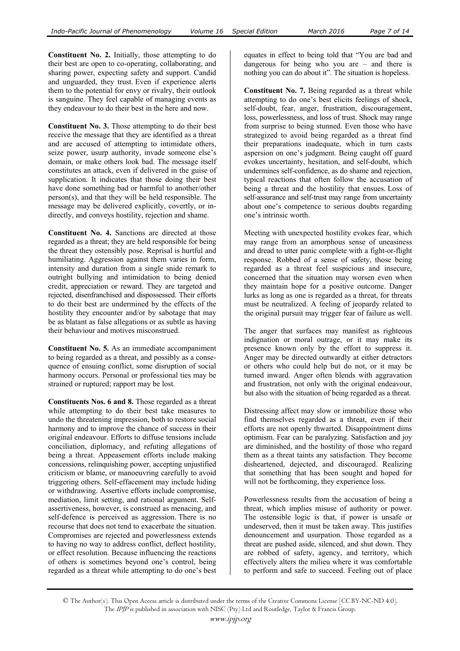**Constituent No. 2.** Initially, those attempting to do their best are open to co-operating, collaborating, and sharing power, expecting safety and support. Candid and unguarded, they trust. Even if experience alerts them to the potential for envy or rivalry, their outlook is sanguine. They feel capable of managing events as they endeavour to do their best in the here and now.

**Constituent No. 3.** Those attempting to do their best receive the message that they are identified as a threat and are accused of attempting to intimidate others, seize power, usurp authority, invade someone else's domain, or make others look bad. The message itself constitutes an attack, even if delivered in the guise of supplication. It indicates that those doing their best have done something bad or harmful to another/other person(s), and that they will be held responsible. The message may be delivered explicitly, covertly, or indirectly, and conveys hostility, rejection and shame.

**Constituent No. 4.** Sanctions are directed at those regarded as a threat; they are held responsible for being the threat they ostensibly pose. Reprisal is hurtful and humiliating. Aggression against them varies in form, intensity and duration from a single snide remark to outright bullying and intimidation to being denied credit, appreciation or reward. They are targeted and rejected, disenfranchised and dispossessed. Their efforts to do their best are undermined by the effects of the hostility they encounter and/or by sabotage that may be as blatant as false allegations or as subtle as having their behaviour and motives misconstrued.

**Constituent No. 5.** As an immediate accompaniment to being regarded as a threat, and possibly as a consequence of ensuing conflict, some disruption of social harmony occurs. Personal or professional ties may be strained or ruptured; rapport may be lost.

**Constituents Nos. 6 and 8.** Those regarded as a threat while attempting to do their best take measures to undo the threatening impression, both to restore social harmony and to improve the chance of success in their original endeavour. Efforts to diffuse tensions include conciliation, diplomacy, and refuting allegations of being a threat. Appeasement efforts include making concessions, relinquishing power, accepting unjustified criticism or blame, or manoeuvring carefully to avoid triggering others. Self-effacement may include hiding or withdrawing. Assertive efforts include compromise, mediation, limit setting, and rational argument. Selfassertiveness, however, is construed as menacing, and self-defence is perceived as aggression. There is no recourse that does not tend to exacerbate the situation. Compromises are rejected and powerlessness extends to having no way to address conflict, deflect hostility, or effect resolution. Because influencing the reactions of others is sometimes beyond one's control, being regarded as a threat while attempting to do one's best equates in effect to being told that "You are bad and dangerous for being who you are – and there is nothing you can do about it". The situation is hopeless.

**Constituent No. 7.** Being regarded as a threat while attempting to do one's best elicits feelings of shock, self-doubt, fear, anger, frustration, discouragement, loss, powerlessness, and loss of trust. Shock may range from surprise to being stunned. Even those who have strategized to avoid being regarded as a threat find their preparations inadequate, which in turn casts aspersion on one's judgment. Being caught off guard evokes uncertainty, hesitation, and self-doubt, which undermines self-confidence, as do shame and rejection, typical reactions that often follow the accusation of being a threat and the hostility that ensues. Loss of self-assurance and self-trust may range from uncertainty about one's competence to serious doubts regarding one's intrinsic worth.

Meeting with unexpected hostility evokes fear, which may range from an amorphous sense of uneasiness and dread to utter panic complete with a fight-or-flight response. Robbed of a sense of safety, those being regarded as a threat feel suspicious and insecure, concerned that the situation may worsen even when they maintain hope for a positive outcome. Danger lurks as long as one is regarded as a threat, for threats must be neutralized. A feeling of jeopardy related to the original pursuit may trigger fear of failure as well.

The anger that surfaces may manifest as righteous indignation or moral outrage, or it may make its presence known only by the effort to suppress it. Anger may be directed outwardly at either detractors or others who could help but do not, or it may be turned inward. Anger often blends with aggravation and frustration, not only with the original endeavour, but also with the situation of being regarded as a threat.

Distressing affect may slow or immobilize those who find themselves regarded as a threat, even if their efforts are not openly thwarted. Disappointment dims optimism. Fear can be paralyzing. Satisfaction and joy are diminished, and the hostility of those who regard them as a threat taints any satisfaction. They become disheartened, dejected, and discouraged. Realizing that something that has been sought and hoped for will not be forthcoming, they experience loss.

Powerlessness results from the accusation of being a threat, which implies misuse of authority or power. The ostensible logic is that, if power is unsafe or undeserved, then it must be taken away. This justifies denouncement and usurpation. Those regarded as a threat are pushed aside, silenced, and shut down. They are robbed of safety, agency, and territory, which effectively alters the milieu where it was comfortable to perform and safe to succeed. Feeling out of place

<sup>©</sup> The Author(s). This Open Access article is distributed under the terms of the Creative Commons License [CC BY-NC-ND 4.0]. The  $IDP$  is published in association with NISC (Pty) Ltd and Routledge, Taylor & Francis Group.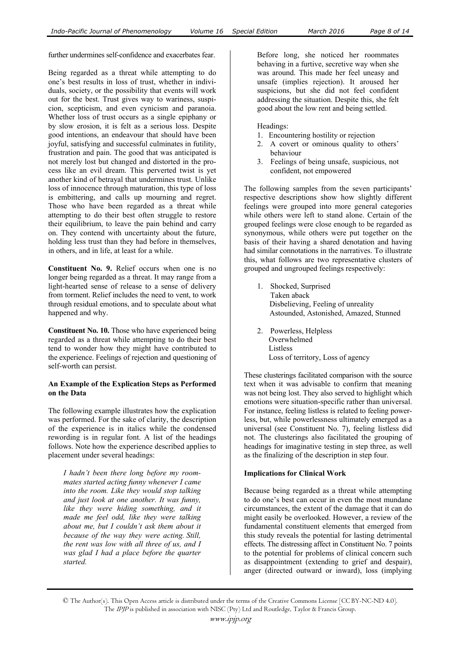further undermines self-confidence and exacerbates fear.

Being regarded as a threat while attempting to do one's best results in loss of trust, whether in individuals, society, or the possibility that events will work out for the best. Trust gives way to wariness, suspicion, scepticism, and even cynicism and paranoia. Whether loss of trust occurs as a single epiphany or by slow erosion, it is felt as a serious loss. Despite good intentions, an endeavour that should have been joyful, satisfying and successful culminates in futility, frustration and pain. The good that was anticipated is not merely lost but changed and distorted in the process like an evil dream. This perverted twist is yet another kind of betrayal that undermines trust. Unlike loss of innocence through maturation, this type of loss is embittering, and calls up mourning and regret. Those who have been regarded as a threat while attempting to do their best often struggle to restore their equilibrium, to leave the pain behind and carry on. They contend with uncertainty about the future, holding less trust than they had before in themselves, in others, and in life, at least for a while.

**Constituent No. 9.** Relief occurs when one is no longer being regarded as a threat. It may range from a light-hearted sense of release to a sense of delivery from torment. Relief includes the need to vent, to work through residual emotions, and to speculate about what happened and why.

**Constituent No. 10.** Those who have experienced being regarded as a threat while attempting to do their best tend to wonder how they might have contributed to the experience. Feelings of rejection and questioning of self-worth can persist.

### **An Example of the Explication Steps as Performed on the Data**

The following example illustrates how the explication was performed. For the sake of clarity, the description of the experience is in italics while the condensed rewording is in regular font. A list of the headings follows. Note how the experience described applies to placement under several headings:

*I hadn't been there long before my roommates started acting funny whenever I came into the room. Like they would stop talking and just look at one another. It was funny, like they were hiding something, and it made me feel odd, like they were talking about me, but I couldn't ask them about it because of the way they were acting. Still, the rent was low with all three of us, and I was glad I had a place before the quarter started.*

Before long, she noticed her roommates behaving in a furtive, secretive way when she was around. This made her feel uneasy and unsafe (implies rejection). It aroused her suspicions, but she did not feel confident addressing the situation. Despite this, she felt good about the low rent and being settled.

### Headings:

- 1. Encountering hostility or rejection
- 2. A covert or ominous quality to others' behaviour
- 3. Feelings of being unsafe, suspicious, not confident, not empowered

The following samples from the seven participants' respective descriptions show how slightly different feelings were grouped into more general categories while others were left to stand alone. Certain of the grouped feelings were close enough to be regarded as synonymous, while others were put together on the basis of their having a shared denotation and having had similar connotations in the narratives. To illustrate this, what follows are two representative clusters of grouped and ungrouped feelings respectively:

- 1. Shocked, Surprised Taken aback Disbelieving, Feeling of unreality Astounded, Astonished, Amazed, Stunned
- 2. Powerless, Helpless Overwhelmed Listless Loss of territory, Loss of agency

These clusterings facilitated comparison with the source text when it was advisable to confirm that meaning was not being lost. They also served to highlight which emotions were situation-specific rather than universal. For instance, feeling listless is related to feeling powerless, but, while powerlessness ultimately emerged as a universal (see Constituent No. 7), feeling listless did not. The clusterings also facilitated the grouping of headings for imaginative testing in step three, as well as the finalizing of the description in step four.

### **Implications for Clinical Work**

Because being regarded as a threat while attempting to do one's best can occur in even the most mundane circumstances, the extent of the damage that it can do might easily be overlooked. However, a review of the fundamental constituent elements that emerged from this study reveals the potential for lasting detrimental effects. The distressing affect in Constituent No. 7 points to the potential for problems of clinical concern such as disappointment (extending to grief and despair), anger (directed outward or inward), loss (implying

© The Author(s). This Open Access article is distributed under the terms of the Creative Commons License [CC BY-NC-ND 4.0]. The IPJP is published in association with NISC (Pty) Ltd and Routledge, Taylor & Francis Group.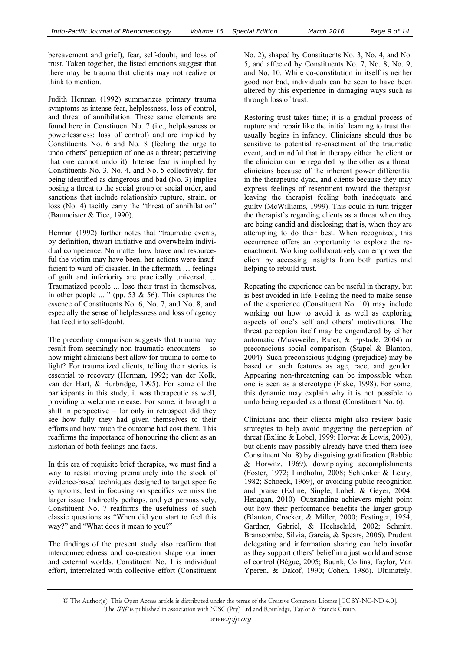bereavement and grief), fear, self-doubt, and loss of trust. Taken together, the listed emotions suggest that there may be trauma that clients may not realize or think to mention.

Judith Herman (1992) summarizes primary trauma symptoms as intense fear, helplessness, loss of control, and threat of annihilation. These same elements are found here in Constituent No. 7 (i.e., helplessness or powerlessness; loss of control) and are implied by Constituents No. 6 and No. 8 (feeling the urge to undo others' perception of one as a threat; perceiving that one cannot undo it). Intense fear is implied by Constituents No. 3, No. 4, and No. 5 collectively, for being identified as dangerous and bad (No. 3) implies posing a threat to the social group or social order, and sanctions that include relationship rupture, strain, or loss (No. 4) tacitly carry the "threat of annihilation" (Baumeister & Tice, 1990).

Herman (1992) further notes that "traumatic events, by definition, thwart initiative and overwhelm individual competence. No matter how brave and resourceful the victim may have been, her actions were insufficient to ward off disaster. In the aftermath … feelings of guilt and inferiority are practically universal. ... Traumatized people ... lose their trust in themselves, in other people  $\ldots$  " (pp. 53 & 56). This captures the essence of Constituents No. 6, No. 7, and No. 8, and especially the sense of helplessness and loss of agency that feed into self-doubt.

The preceding comparison suggests that trauma may result from seemingly non-traumatic encounters – so how might clinicians best allow for trauma to come to light? For traumatized clients, telling their stories is essential to recovery (Herman, 1992; van der Kolk, van der Hart, & Burbridge, 1995). For some of the participants in this study, it was therapeutic as well, providing a welcome release. For some, it brought a shift in perspective – for only in retrospect did they see how fully they had given themselves to their efforts and how much the outcome had cost them. This reaffirms the importance of honouring the client as an historian of both feelings and facts.

In this era of requisite brief therapies, we must find a way to resist moving prematurely into the stock of evidence-based techniques designed to target specific symptoms, lest in focusing on specifics we miss the larger issue. Indirectly perhaps, and yet persuasively, Constituent No. 7 reaffirms the usefulness of such classic questions as "When did you start to feel this way?" and "What does it mean to you?"

The findings of the present study also reaffirm that interconnectedness and co-creation shape our inner and external worlds. Constituent No. 1 is individual effort, interrelated with collective effort (Constituent No. 2), shaped by Constituents No. 3, No. 4, and No. 5, and affected by Constituents No. 7, No. 8, No. 9, and No. 10. While co-constitution in itself is neither good nor bad, individuals can be seen to have been altered by this experience in damaging ways such as through loss of trust.

Restoring trust takes time; it is a gradual process of rupture and repair like the initial learning to trust that usually begins in infancy. Clinicians should thus be sensitive to potential re-enactment of the traumatic event, and mindful that in therapy either the client or the clinician can be regarded by the other as a threat: clinicians because of the inherent power differential in the therapeutic dyad, and clients because they may express feelings of resentment toward the therapist, leaving the therapist feeling both inadequate and guilty (McWilliams, 1999). This could in turn trigger the therapist's regarding clients as a threat when they are being candid and disclosing; that is, when they are attempting to do their best. When recognized, this occurrence offers an opportunity to explore the reenactment. Working collaboratively can empower the client by accessing insights from both parties and helping to rebuild trust.

Repeating the experience can be useful in therapy, but is best avoided in life. Feeling the need to make sense of the experience (Constituent No. 10) may include working out how to avoid it as well as exploring aspects of one's self and others' motivations. The threat perception itself may be engendered by either automatic (Mussweiler, Ruter, & Epstude, 2004) or preconscious social comparison (Stapel & Blanton, 2004). Such preconscious judging (prejudice) may be based on such features as age, race, and gender. Appearing non-threatening can be impossible when one is seen as a stereotype (Fiske, 1998). For some, this dynamic may explain why it is not possible to undo being regarded as a threat (Constituent No. 6).

Clinicians and their clients might also review basic strategies to help avoid triggering the perception of threat (Exline & Lobel, 1999; Horvat & Lewis, 2003), but clients may possibly already have tried them (see Constituent No. 8) by disguising gratification (Rabbie & Horwitz, 1969), downplaying accomplishments (Foster, 1972; Lindholm, 2008; Schlenker & Leary, 1982; Schoeck, 1969), or avoiding public recognition and praise (Exline, Single, Lobel, & Geyer, 2004; Henagan, 2010). Outstanding achievers might point out how their performance benefits the larger group (Blanton, Crocker, & Miller, 2000; Festinger, 1954; Gardner, Gabriel, & Hochschild, 2002; Schmitt, Branscombe, Silvia, Garcia, & Spears, 2006). Prudent delegating and information sharing can help insofar as they support others' belief in a just world and sense of control (Bègue, 2005; Buunk, Collins, Taylor, Van Yperen, & Dakof, 1990; Cohen, 1986). Ultimately,

<sup>©</sup> The Author(s). This Open Access article is distributed under the terms of the Creative Commons License [CC BY-NC-ND 4.0]. The IPJP is published in association with NISC (Pty) Ltd and Routledge, Taylor & Francis Group.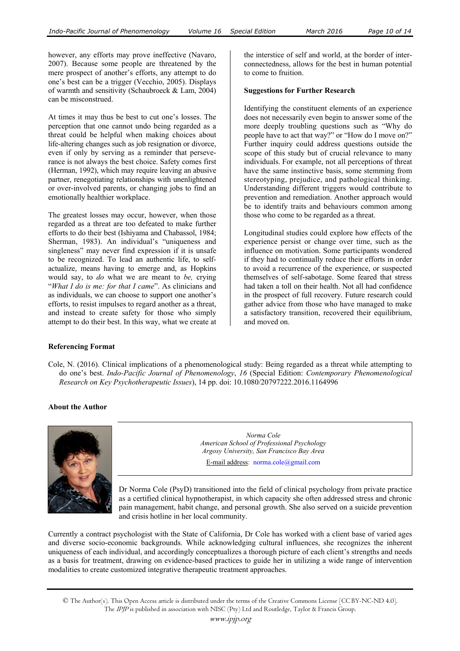however, any efforts may prove ineffective (Navaro, 2007). Because some people are threatened by the mere prospect of another's efforts, any attempt to do one's best can be a trigger (Vecchio, 2005). Displays of warmth and sensitivity (Schaubroeck & Lam, 2004) can be misconstrued.

At times it may thus be best to cut one's losses. The perception that one cannot undo being regarded as a threat could be helpful when making choices about life-altering changes such as job resignation or divorce, even if only by serving as a reminder that perseverance is not always the best choice. Safety comes first (Herman, 1992), which may require leaving an abusive partner, renegotiating relationships with unenlightened or over-involved parents, or changing jobs to find an emotionally healthier workplace.

The greatest losses may occur, however, when those regarded as a threat are too defeated to make further efforts to do their best (Ishiyama and Chabassol, 1984; Sherman, 1983). An individual's "uniqueness and singleness" may never find expression if it is unsafe to be recognized. To lead an authentic life, to selfactualize, means having to emerge and, as Hopkins would say, to *do* what we are meant to *be,* crying "*What I do is me: for that I came*". As clinicians and as individuals, we can choose to support one another's efforts, to resist impulses to regard another as a threat, and instead to create safety for those who simply attempt to do their best. In this way, what we create at the interstice of self and world, at the border of interconnectedness, allows for the best in human potential to come to fruition.

#### **Suggestions for Further Research**

Identifying the constituent elements of an experience does not necessarily even begin to answer some of the more deeply troubling questions such as "Why do people have to act that way?" or "How do I move on?" Further inquiry could address questions outside the scope of this study but of crucial relevance to many individuals. For example, not all perceptions of threat have the same instinctive basis, some stemming from stereotyping, prejudice, and pathological thinking. Understanding different triggers would contribute to prevention and remediation. Another approach would be to identify traits and behaviours common among those who come to be regarded as a threat.

Longitudinal studies could explore how effects of the experience persist or change over time, such as the influence on motivation. Some participants wondered if they had to continually reduce their efforts in order to avoid a recurrence of the experience, or suspected themselves of self-sabotage. Some feared that stress had taken a toll on their health. Not all had confidence in the prospect of full recovery. Future research could gather advice from those who have managed to make a satisfactory transition, recovered their equilibrium, and moved on.

### **Referencing Format**

Cole, N. (2016). Clinical implications of a phenomenological study: Being regarded as a threat while attempting to do one's best. *Indo-Pacific Journal of Phenomenology*, *16* (Special Edition: *Contemporary Phenomenological Research on Key Psychotherapeutic Issues*), 14 pp. doi: 10.1080/20797222.2016.1164996

## **About the Author**



*Norma Cole American School of Professional Psychology Argosy University, San Francisco Bay Area*  E-mail address: norma.cole@gmail.com

Dr Norma Cole (PsyD) transitioned into the field of clinical psychology from private practice as a certified clinical hypnotherapist, in which capacity she often addressed stress and chronic pain management, habit change, and personal growth. She also served on a suicide prevention and crisis hotline in her local community.

Currently a contract psychologist with the State of California, Dr Cole has worked with a client base of varied ages and diverse socio-economic backgrounds. While acknowledging cultural influences, she recognizes the inherent uniqueness of each individual, and accordingly conceptualizes a thorough picture of each client's strengths and needs as a basis for treatment, drawing on evidence-based practices to guide her in utilizing a wide range of intervention modalities to create customized integrative therapeutic treatment approaches.

© The Author(s). This Open Access article is distributed under the terms of the Creative Commons License [CC BY-NC-ND 4.0]. The IPJP is published in association with NISC (Pty) Ltd and Routledge, Taylor & Francis Group.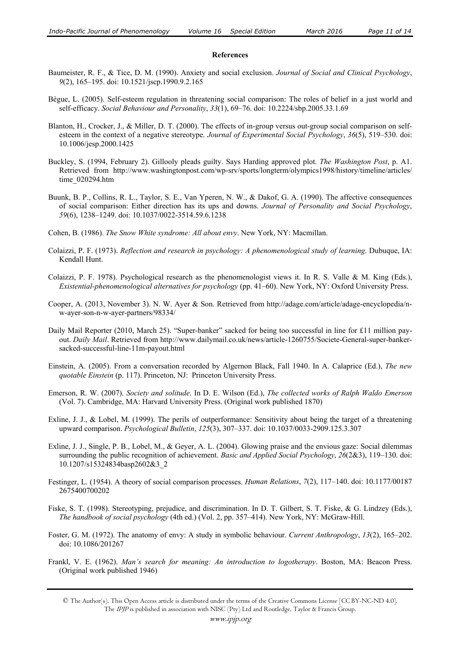#### **References**

- Baumeister, R. F., & Tice, D. M. (1990). Anxiety and social exclusion. *Journal of Social and Clinical Psychology*, *9*(2), 165–195. doi: 10.1521/jscp.1990.9.2.165
- Bègue, L. (2005). Self-esteem regulation in threatening social comparison: The roles of belief in a just world and self-efficacy. *Social Behaviour and Personality*, *33*(1), 69–76. doi: 10.2224/sbp.2005.33.1.69
- Blanton, H., Crocker, J., & Miller, D. T. (2000). The effects of in-group versus out-group social comparison on selfesteem in the context of a negative stereotype. *Journal of Experimental Social Psychology*, *36*(5), 519–530. doi: 10.1006/jesp.2000.1425
- Buckley, S. (1994, February 2). Gillooly pleads guilty. Says Harding approved plot. *The Washington Post*, p. A1. Retrieved from http://www.washingtonpost.com/wp-srv/sports/longterm/olympics1998/history/timeline/articles/ time\_020294.htm
- Buunk, B. P., Collins, R. L., Taylor, S. E., Van Yperen, N. W., & Dakof, G. A. (1990). The affective consequences of social comparison: Either direction has its ups and downs. *Journal of Personality and Social Psychology*, *59*(6), 1238–1249. doi: 10.1037/0022-3514.59.6.1238
- Cohen, B. (1986). *The Snow White syndrome: All about envy*. New York, NY: Macmillan.
- Colaizzi, P. F. (1973). *Reflection and research in psychology: A phenomenological study of learning*. Dubuque, IA: Kendall Hunt.
- Colaizzi, P. F. 1978). Psychological research as the phenomenologist views it. In R. S. Valle & M. King (Eds.), *Existential-phenomenological alternatives for psychology* (pp. 41–60). New York, NY: Oxford University Press.
- Cooper, A. (2013, November 3). N. W. Ayer & Son. Retrieved from http://adage.com/article/adage-encyclopedia/nw-ayer-son-n-w-ayer-partners/98334/
- Daily Mail Reporter (2010, March 25). "Super-banker" sacked for being too successful in line for £11 million payout. *Daily Mail*. Retrieved from http://www.dailymail.co.uk/news/article-1260755/Societe-General-super-bankersacked-successful-line-11m-payout.html
- Einstein, A. (2005). From a conversation recorded by Algernon Black, Fall 1940. In A. Calaprice (Ed.), *The new quotable Einstein* (p. 117). Princeton, NJ: Princeton University Press.
- Emerson, R. W. (2007). *Society and solitude*. In D. E. Wilson (Ed.), *The collected works of Ralph Waldo Emerson* (Vol. 7). Cambridge, MA: Harvard University Press. (Original work published 1870)
- Exline, J. J., & Lobel, M. (1999). The perils of outperformance: Sensitivity about being the target of a threatening upward comparison. *Psychological Bulletin*, *125*(3), 307–337. doi: 10.1037/0033-2909.125.3.307
- Exline, J. J., Single, P. B., Lobel, M., & Geyer, A. L. (2004). Glowing praise and the envious gaze: Social dilemmas surrounding the public recognition of achievement. *Basic and Applied Social Psychology*, *26*(2&3), 119–130. doi: 10.1207/s15324834basp2602&3\_2
- Festinger, L. (1954). A theory of social comparison processes. *Human Relations*, *7*(2), 117–140. doi: 10.1177/00187 2675400700202
- Fiske, S. T. (1998). Stereotyping, prejudice, and discrimination. In D. T. Gilbert, S. T. Fiske, & G. Lindzey (Eds.), *The handbook of social psychology* (4th ed.) (Vol. 2, pp. 357–414). New York, NY: McGraw-Hill.
- Foster, G. M. (1972). The anatomy of envy: A study in symbolic behaviour. *Current Anthropology*, *13*(2), 165–202. doi: 10.1086/201267
- Frankl, V. E. (1962). *Man's search for meaning: An introduction to logotherapy*. Boston, MA: Beacon Press. (Original work published 1946)

<sup>©</sup> The Author(s). This Open Access article is distributed under the terms of the Creative Commons License [CC BY-NC-ND 4.0]. The IPJP is published in association with NISC (Pty) Ltd and Routledge, Taylor & Francis Group.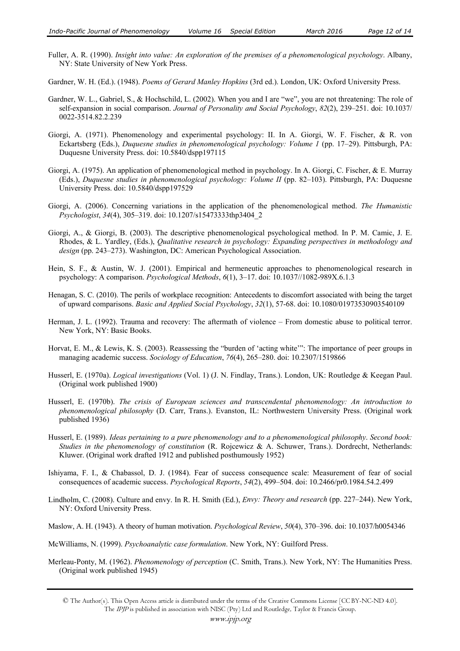- Fuller, A. R. (1990). *Insight into value: An exploration of the premises of a phenomenological psychology*. Albany, NY: State University of New York Press.
- Gardner, W. H. (Ed.). (1948). *Poems of Gerard Manley Hopkins* (3rd ed.). London, UK: Oxford University Press.
- Gardner, W. L., Gabriel, S., & Hochschild, L. (2002). When you and I are "we", you are not threatening: The role of self-expansion in social comparison. *Journal of Personality and Social Psychology*, *82*(2), 239–251. doi: 10.1037/ 0022-3514.82.2.239
- Giorgi, A. (1971). Phenomenology and experimental psychology: II. In A. Giorgi, W. F. Fischer, & R. von Eckartsberg (Eds.), *Duquesne studies in phenomenological psychology: Volume 1* (pp. 17–29). Pittsburgh, PA: Duquesne University Press. doi: 10.5840/dspp197115
- Giorgi, A. (1975). An application of phenomenological method in psychology. In A. Giorgi, C. Fischer, & E. Murray (Eds.), *Duquesne studies in phenomenological psychology: Volume II* (pp. 82–103). Pittsburgh, PA: Duquesne University Press. doi: 10.5840/dspp197529
- Giorgi, A. (2006). Concerning variations in the application of the phenomenological method. *The Humanistic Psychologist*, *34*(4), 305–319. doi: 10.1207/s15473333thp3404\_2
- Giorgi, A., & Giorgi, B. (2003). The descriptive phenomenological psychological method. In P. M. Camic, J. E. Rhodes, & L. Yardley, (Eds.), *Qualitative research in psychology: Expanding perspectives in methodology and design* (pp. 243–273). Washington, DC: American Psychological Association.
- Hein, S. F., & Austin, W. J. (2001). Empirical and hermeneutic approaches to phenomenological research in psychology: A comparison. *Psychological Methods*, *6*(1), 3–17. doi: 10.1037//1082-989X.6.1.3
- Henagan, S. C. (2010). The perils of workplace recognition: Antecedents to discomfort associated with being the target of upward comparisons. *Basic and Applied Social Psychology*, *32*(1), 57-68. doi: 10.1080/01973530903540109
- Herman, J. L. (1992). Trauma and recovery: The aftermath of violence From domestic abuse to political terror. New York, NY: Basic Books.
- Horvat, E. M., & Lewis, K. S. (2003). Reassessing the "burden of 'acting white'": The importance of peer groups in managing academic success. *Sociology of Education*, *76*(4), 265–280. doi: 10.2307/1519866
- Husserl, E. (1970a). *Logical investigations* (Vol. 1) (J. N. Findlay, Trans.). London, UK: Routledge & Keegan Paul. (Original work published 1900)
- Husserl, E. (1970b). *The crisis of European sciences and transcendental phenomenology: An introduction to phenomenological philosophy* (D. Carr, Trans.). Evanston, IL: Northwestern University Press. (Original work published 1936)
- Husserl, E. (1989). *Ideas pertaining to a pure phenomenology and to a phenomenological philosophy*. *Second book: Studies in the phenomenology of constitution* (R. Rojcewicz & A. Schuwer, Trans.). Dordrecht, Netherlands: Kluwer. (Original work drafted 1912 and published posthumously 1952)
- Ishiyama, F. I., & Chabassol, D. J. (1984). Fear of success consequence scale: Measurement of fear of social consequences of academic success. *Psychological Reports*, *54*(2), 499–504. doi: 10.2466/pr0.1984.54.2.499
- Lindholm, C. (2008). Culture and envy. In R. H. Smith (Ed.), *Envy: Theory and research* (pp. 227–244). New York, NY: Oxford University Press.
- Maslow, A. H. (1943). A theory of human motivation. *Psychological Review*, *50*(4), 370–396. doi: 10.1037/h0054346
- McWilliams, N. (1999). *Psychoanalytic case formulation*. New York, NY: Guilford Press.
- Merleau-Ponty, M. (1962). *Phenomenology of perception* (C. Smith, Trans.). New York, NY: The Humanities Press. (Original work published 1945)

<sup>©</sup> The Author(s). This Open Access article is distributed under the terms of the Creative Commons License [CC BY-NC-ND 4.0]. The IPJP is published in association with NISC (Pty) Ltd and Routledge, Taylor & Francis Group.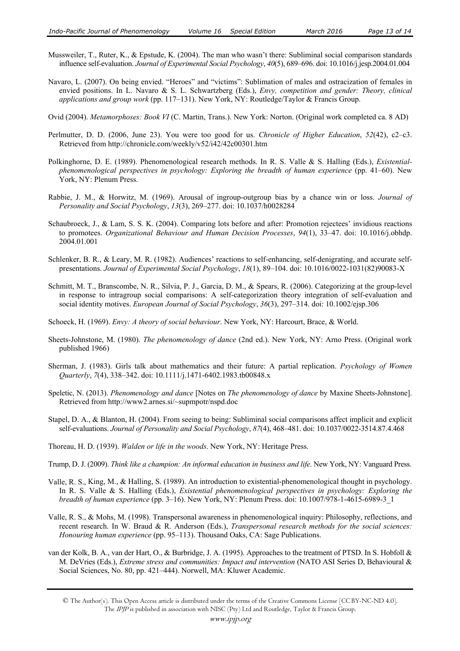- Mussweiler, T., Ruter, K., & Epstude, K. (2004). The man who wasn't there: Subliminal social comparison standards influence self-evaluation. *Journal of Experimental Social Psychology*, *40*(5), 689–696. doi: 10.1016/j.jesp.2004.01.004
- Navaro, L. (2007). On being envied. "Heroes" and "victims": Sublimation of males and ostracization of females in envied positions. In L. Navaro & S. L. Schwartzberg (Eds.), *Envy, competition and gender: Theory, clinical applications and group work* (pp. 117–131). New York, NY: Routledge/Taylor & Francis Group.
- Ovid (2004). *Metamorphoses: Book VI* (C. Martin, Trans.). New York: Norton. (Original work completed ca. 8 AD)
- Perlmutter, D. D. (2006, June 23). You were too good for us. *Chronicle of Higher Education*, *52*(42), c2–c3. Retrieved from http://chronicle.com/weekly/v52/i42/42c00301.htm
- Polkinghorne, D. E. (1989). Phenomenological research methods. In R. S. Valle & S. Halling (Eds.), *Existentialphenomenological perspectives in psychology: Exploring the breadth of human experience* (pp. 41–60). New York, NY: Plenum Press.
- Rabbie, J. M., & Horwitz, M. (1969). Arousal of ingroup-outgroup bias by a chance win or loss. *Journal of Personality and Social Psychology*, *13*(3), 269–277. doi: 10.1037/h0028284
- Schaubroeck, J., & Lam, S. S. K. (2004). Comparing lots before and after: Promotion rejectees' invidious reactions to promotees. *Organizational Behaviour and Human Decision Processes*, *94*(1), 33–47. doi: 10.1016/j.obhdp. 2004.01.001
- Schlenker, B. R., & Leary, M. R. (1982). Audiences' reactions to self-enhancing, self-denigrating, and accurate selfpresentations. *Journal of Experimental Social Psychology*, *18*(1), 89–104. doi: 10.1016/0022-1031(82)90083-X
- Schmitt, M. T., Branscombe, N. R., Silvia, P. J., Garcia, D. M., & Spears, R. (2006). Categorizing at the group-level in response to intragroup social comparisons: A self-categorization theory integration of self-evaluation and social identity motives. *European Journal of Social Psychology*, *36*(3), 297–314. doi: 10.1002/ejsp.306
- Schoeck, H. (1969). *Envy: A theory of social behaviour*. New York, NY: Harcourt, Brace, & World.
- Sheets-Johnstone, M. (1980). *The phenomenology of dance* (2nd ed.). New York, NY: Arno Press. (Original work published 1966)
- Sherman, J. (1983). Girls talk about mathematics and their future: A partial replication. *Psychology of Women Quarterly*, *7*(4), 338–342. doi: 10.1111/j.1471-6402.1983.tb00848.x
- Speletic, N. (2013). *Phenomenology and dance* [Notes on *The phenomenology of dance* by Maxine Sheets-Johnstone]. Retrieved from http://www2.arnes.si/~supmpotr/nspd.doc
- Stapel, D. A., & Blanton, H. (2004). From seeing to being: Subliminal social comparisons affect implicit and explicit self-evaluations. *Journal of Personality and Social Psychology*, *87*(4), 468–481. doi: 10.1037/0022-3514.87.4.468
- Thoreau, H. D. (1939). *Walden or life in the woods*. New York, NY: Heritage Press.
- Trump, D. J. (2009). *Think like a champion: An informal education in business and life*. New York, NY: Vanguard Press.
- Valle, R. S., King, M., & Halling, S. (1989). An introduction to existential-phenomenological thought in psychology. In R. S. Valle & S. Halling (Eds.), *Existential phenomenological perspectives in psychology: Exploring the breadth of human experience* (pp. 3–16). New York, NY: Plenum Press. doi: 10.1007/978-1-4615-6989-3\_1
- Valle, R. S., & Mohs, M. (1998). Transpersonal awareness in phenomenological inquiry: Philosophy, reflections, and recent research. In W. Braud & R. Anderson (Eds.), *Transpersonal research methods for the social sciences: Honouring human experience* (pp. 95–113). Thousand Oaks, CA: Sage Publications.
- van der Kolk, B. A., van der Hart, O., & Burbridge, J. A. (1995). Approaches to the treatment of PTSD. In S. Hobfoll & M. DeVries (Eds.), *Extreme stress and communities: Impact and intervention* (NATO ASI Series D, Behavioural & Social Sciences, No. 80, pp. 421–444). Norwell, MA: Kluwer Academic.

<sup>©</sup> The Author(s). This Open Access article is distributed under the terms of the Creative Commons License [CC BY-NC-ND 4.0]. The IPJP is published in association with NISC (Pty) Ltd and Routledge, Taylor & Francis Group.